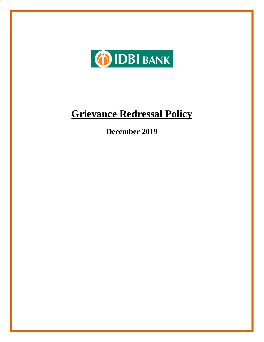

# **Grievance Redressal Policy**

**December 2019**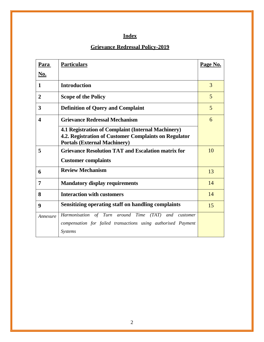# **Index**

# **Grievance Redressal Policy-2019**

| Para                    | <b>Particulars</b>                                                                                                                                 | Page No. |
|-------------------------|----------------------------------------------------------------------------------------------------------------------------------------------------|----------|
| <u>No.</u>              |                                                                                                                                                    |          |
| $\mathbf{1}$            | <b>Introduction</b>                                                                                                                                | 3        |
| $\overline{2}$          | <b>Scope of the Policy</b>                                                                                                                         | 5        |
| 3                       | <b>Definition of Query and Complaint</b>                                                                                                           | 5        |
| $\overline{\mathbf{4}}$ | <b>Grievance Redressal Mechanism</b>                                                                                                               | 6        |
|                         | 4.1 Registration of Complaint (Internal Machinery)<br>4.2. Registration of Customer Complaints on Regulator<br><b>Portals (External Machinery)</b> |          |
| 5                       | <b>Grievance Resolution TAT and Escalation matrix for</b>                                                                                          | 10       |
|                         | <b>Customer complaints</b>                                                                                                                         |          |
| 6                       | <b>Review Mechanism</b>                                                                                                                            | 13       |
| 7                       | <b>Mandatory display requirements</b>                                                                                                              | 14       |
| 8                       | <b>Interaction with customers</b>                                                                                                                  | 14       |
| 9                       | Sensitizing operating staff on handling complaints                                                                                                 | 15       |
| Annexure                | Harmonisation of Turn around Time<br>$(TAT)$ and<br>customer                                                                                       |          |
|                         | compensation for failed transactions using authorised Payment                                                                                      |          |
|                         | <b>Systems</b>                                                                                                                                     |          |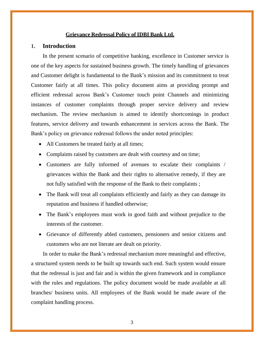### **Grievance Redressal Policy of IDBI Bank Ltd.**

# **1. Introduction**

In the present scenario of competitive banking, excellence in Customer service is one of the key aspects for sustained business growth. The timely handling of grievances and Customer delight is fundamental to the Bank's mission and its commitment to treat Customer fairly at all times. This policy document aims at providing prompt and efficient redressal across Bank's Customer touch point Channels and minimizing instances of customer complaints through proper service delivery and review mechanism. The review mechanism is aimed to identify shortcomings in product features, service delivery and towards enhancement in services across the Bank. The Bank's policy on grievance redressal follows the under noted principles:

- All Customers be treated fairly at all times;
- Complaints raised by customers are dealt with courtesy and on time;
- Customers are fully informed of avenues to escalate their complaints / grievances within the Bank and their rights to alternative remedy, if they are not fully satisfied with the response of the Bank to their complaints ;
- The Bank will treat all complaints efficiently and fairly as they can damage its reputation and business if handled otherwise;
- The Bank's employees must work in good faith and without prejudice to the interests of the customer.
- Grievance of differently abled customers, pensioners and senior citizens and customers who are not literate are dealt on priority.

In order to make the Bank's redressal mechanism more meaningful and effective, a structured system needs to be built up towards such end. Such system would ensure that the redressal is just and fair and is within the given framework and in compliance with the rules and regulations. The policy document would be made available at all branches/ business units. All employees of the Bank would be made aware of the complaint handling process.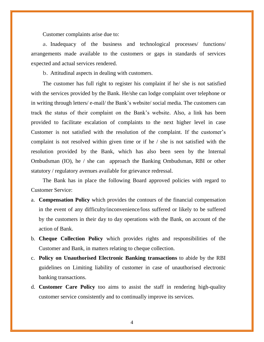Customer complaints arise due to:

a. Inadequacy of the business and technological processes/ functions/ arrangements made available to the customers or gaps in standards of services expected and actual services rendered.

b. Attitudinal aspects in dealing with customers.

The customer has full right to register his complaint if he/ she is not satisfied with the services provided by the Bank. He/she can lodge complaint over telephone or in writing through letters/ e-mail/ the Bank's website/ social media. The customers can track the status of their complaint on the Bank's website. Also, a link has been provided to facilitate escalation of complaints to the next higher level in case Customer is not satisfied with the resolution of the complaint. If the customer's complaint is not resolved within given time or if he / she is not satisfied with the resolution provided by the Bank, which has also been seen by the Internal Ombudsman (IO), he / she can approach the Banking Ombudsman, RBI or other statutory / regulatory avenues available for grievance redressal.

The Bank has in place the following Board approved policies with regard to Customer Service:

- a. **Compensation Policy** which provides the contours of the financial compensation in the event of any difficulty/inconvenience/loss suffered or likely to be suffered by the customers in their day to day operations with the Bank, on account of the action of Bank.
- b. **Cheque Collection Policy** which provides rights and responsibilities of the Customer and Bank, in matters relating to cheque collection.
- c. **Policy on Unauthorised Electronic Banking transactions** to abide by the RBI guidelines on Limiting liability of customer in case of unauthorised electronic banking transactions.
- d. **Customer Care Policy** too aims to assist the staff in rendering high-quality customer service consistently and to continually improve its services.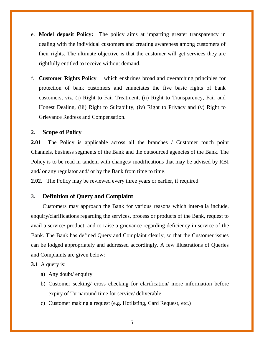- e. **Model deposit Policy:** The policy aims at imparting greater transparency in dealing with the individual customers and creating awareness among customers of their rights. The ultimate objective is that the customer will get services they are rightfully entitled to receive without demand.
- f. **Customer Rights Policy** which enshrines broad and overarching principles for protection of bank customers and enunciates the five basic rights of bank customers, viz. (i) Right to Fair Treatment, (ii) Right to Transparency, Fair and Honest Dealing, (iii) Right to Suitability, (iv) Right to Privacy and (v) Right to Grievance Redress and Compensation.

### **2. Scope of Policy**

**2.01** The Policy is applicable across all the branches / Customer touch point Channels, business segments of the Bank and the outsourced agencies of the Bank. The Policy is to be read in tandem with changes/ modifications that may be advised by RBI and/ or any regulator and/ or by the Bank from time to time.

**2.02.** The Policy may be reviewed every three years or earlier, if required.

#### **3. Definition of Query and Complaint**

Customers may approach the Bank for various reasons which inter-alia include, enquiry/clarifications regarding the services, process or products of the Bank, request to avail a service/ product, and to raise a grievance regarding deficiency in service of the Bank. The Bank has defined Query and Complaint clearly, so that the Customer issues can be lodged appropriately and addressed accordingly. A few illustrations of Queries and Complaints are given below:

#### **3.1** A query is:

- a) Any doubt/ enquiry
- b) Customer seeking/ cross checking for clarification/ more information before expiry of Turnaround time for service/ deliverable
- c) Customer making a request (e.g. Hotlisting, Card Request, etc.)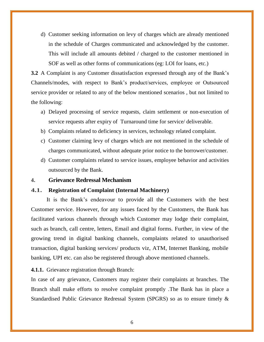d) Customer seeking information on levy of charges which are already mentioned in the schedule of Charges communicated and acknowledged by the customer. This will include all amounts debited / charged to the customer mentioned in SOF as well as other forms of communications (eg: LOI for loans, etc.)

**3.2** A Complaint is any Customer dissatisfaction expressed through any of the Bank's Channels/modes, with respect to Bank's product/services, employee or Outsourced service provider or related to any of the below mentioned scenarios , but not limited to the following:

- a) Delayed processing of service requests, claim settlement or non-execution of service requests after expiry of Turnaround time for service/ deliverable.
- b) Complaints related to deficiency in services, technology related complaint.
- c) Customer claiming levy of charges which are not mentioned in the schedule of charges communicated, without adequate prior notice to the borrower/customer.
- d) Customer complaints related to service issues, employee behavior and activities outsourced by the Bank.

#### **4. Grievance Redressal Mechanism**

#### **4.1. Registration of Complaint (Internal Machinery)**

It is the Bank's endeavour to provide all the Customers with the best Customer service. However, for any issues faced by the Customers, the Bank has facilitated various channels through which Customer may lodge their complaint, such as branch, call centre, letters, Email and digital forms. Further, in view of the growing trend in digital banking channels, complaints related to unauthorised transaction, digital banking services/ products viz, ATM, Internet Banking, mobile banking, UPI etc. can also be registered through above mentioned channels.

#### **4.1.1.** Grievance registration through Branch:

In case of any grievance, Customers may register their complaints at branches. The Branch shall make efforts to resolve complaint promptly .The Bank has in place a Standardised Public Grievance Redressal System (SPGRS) so as to ensure timely &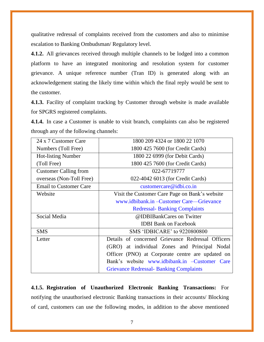qualitative redressal of complaints received from the customers and also to minimise escalation to Banking Ombudsman/ Regulatory level.

**4.1.2.** All grievances received through multiple channels to be lodged into a common platform to have an integrated monitoring and resolution system for customer grievance. A unique reference number (Tran ID) is generated along with an acknowledgement stating the likely time within which the final reply would be sent to the customer.

**4.1.3.** Facility of complaint tracking by Customer through website is made available for SPGRS registered complaints.

**4.1.4.** In case a Customer is unable to visit branch, complaints can also be registered through any of the following channels:

| 24 x 7 Customer Care          | 1800 209 4324 or 1800 22 1070                     |  |
|-------------------------------|---------------------------------------------------|--|
| Numbers (Toll Free)           | 1800 425 7600 (for Credit Cards)                  |  |
| <b>Hot-listing Number</b>     | 1800 22 6999 (for Debit Cards)                    |  |
| (Toll Free)                   | 1800 425 7600 (for Credit Cards)                  |  |
| <b>Customer Calling from</b>  | 022-67719777                                      |  |
| overseas (Non-Toll Free)      | 022-4042 6013 (for Credit Cards)                  |  |
| <b>Email to Customer Care</b> | customercare@idbi.co.in                           |  |
| Website                       | Visit the Customer Care Page on Bank's website    |  |
|                               | www.idbibank.in – Customer Care—Grievance         |  |
|                               | <b>Redressal-Banking Complaints</b>               |  |
| Social Media                  | @IDBIBankCares on Twitter                         |  |
|                               | <b>IDBI</b> Bank on Facebook                      |  |
| <b>SMS</b>                    | SMS 'IDBICARE' to 9220800800                      |  |
| Letter                        | Details of concerned Grievance Redressal Officers |  |
|                               | (GRO) at individual Zones and Principal Nodal     |  |
|                               | Officer (PNO) at Corporate centre are updated on  |  |
|                               | Bank's website www.idbibank.in –Customer Care     |  |
|                               | <b>Grievance Redressal- Banking Complaints</b>    |  |

**4.1.5. Registration of Unauthorized Electronic Banking Transactions:** For notifying the unauthorised electronic Banking transactions in their accounts/ Blocking of card, customers can use the following modes, in addition to the above mentioned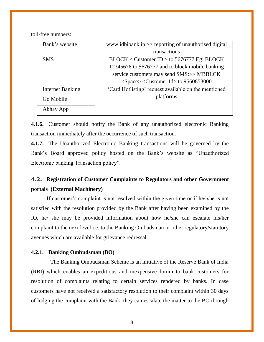toll-free numbers:

| Bank's website          | www.idbibank.in >> reporting of unauthorised digital |
|-------------------------|------------------------------------------------------|
|                         | transactions                                         |
| <b>SMS</b>              | $\text{BLOCK}$ < Customer ID > to 5676777 Eg: BLOCK  |
|                         | 12345678 to 5676777 and to block mobile banking      |
|                         | service customers may send SMS:>> MBBLCK             |
|                         | $<$ Space> $<$ Customer Id> to 9560853000            |
| <b>Internet Banking</b> | 'Card Hotlisting' request available on the mentioned |
| $Go Mobile +$           | platforms                                            |
| Abhay App               |                                                      |

**4.1.6.** Customer should notify the Bank of any unauthorized electronic Banking transaction immediately after the occurrence of such transaction.

**4.1.7.** The Unauthorized Electronic Banking transactions will be governed by the Bank's Board approved policy hosted on the Bank's website as "Unauthorized Electronic banking Transaction policy".

# **4.2. Registration of Customer Complaints to Regulators and other Government portals (External Machinery)**

If customer's complaint is not resolved within the given time or if he/ she is not satisfied with the resolution provided by the Bank after having been examined by the IO, he/ she may be provided information about how he/she can escalate his/her complaint to the next level i.e. to the Banking Ombudsman or other regulatory/statutory avenues which are available for grievance redressal.

## **4.2.1. Banking Ombudsman (BO)**

The Banking Ombudsman Scheme is an initiative of the Reserve Bank of India (RBI) which enables an expeditious and inexpensive forum to bank customers for resolution of complaints relating to certain services rendered by banks. In case customers have not received a satisfactory resolution to their complaint within 30 days of lodging the complaint with the Bank, they can escalate the matter to the BO through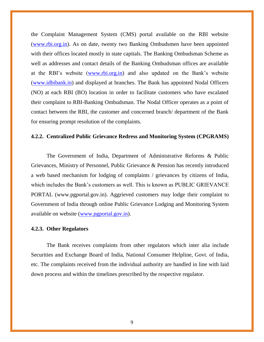the Complaint Management System (CMS) portal available on the RBI website [\(www.rbi.org.in\)](http://www.rbi.org.in/). As on date, twenty two Banking Ombudsmen have been appointed with their offices located mostly in state capitals. The Banking Ombudsman Scheme as well as addresses and contact details of the Banking Ombudsman offices are available at the RBI's website [\(www.rbi.org.in\)](http://www.rbi.org.in/) and also updated on the Bank's website [\(www.idbibank.in\)](http://www.idbibank.in/) and displayed at branches. The Bank has appointed Nodal Officers (NO) at each RBI (BO) location in order to facilitate customers who have escalated their complaint to RBI-Banking Ombudsman. The Nodal Officer operates as a point of contact between the RBI, the customer and concerned branch/ department of the Bank for ensuring prompt resolution of the complaints.

# **4.2.2. Centralized Public Grievance Redress and Monitoring System (CPGRAMS)**

The Government of India, Department of Administrative Reforms & Public Grievances, Ministry of Personnel, Public Grievance & Pension has recently introduced a web based mechanism for lodging of complaints / grievances by citizens of India, which includes the Bank's customers as well. This is known as PUBLIC GRIEVANCE PORTAL (www.pgportal.gov.in). Aggrieved customers may lodge their complaint to Government of India through online Public Grievance Lodging and Monitoring System available on website [\(www.pgportal.gov.in\)](http://www.pgportal.gov.in/).

## **4.2.3. Other Regulators**

The Bank receives complaints from other regulators which inter alia include Securities and Exchange Board of India, National Consumer Helpline, Govt. of India, etc. The complaints received from the individual authority are handled in line with laid down process and within the timelines prescribed by the respective regulator.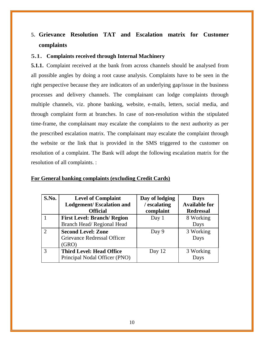# **5. Grievance Resolution TAT and Escalation matrix for Customer complaints**

# **5.1. Complaints received through Internal Machinery**

**5.1.1.** Complaint received at the bank from across channels should be analysed from all possible angles by doing a root cause analysis. Complaints have to be seen in the right perspective because they are indicators of an underlying gap/issue in the business processes and delivery channels. The complainant can lodge complaints through multiple channels, viz. phone banking, website, e-mails, letters, social media, and through complaint form at branches. In case of non-resolution within the stipulated time-frame, the complainant may escalate the complaints to the next authority as per the prescribed escalation matrix. The complainant may escalate the complaint through the website or the link that is provided in the SMS triggered to the customer on resolution of a complaint. The Bank will adopt the following escalation matrix for the resolution of all complaints. :

| S.No. | <b>Level of Complaint</b><br><b>Lodgement/Escalation and</b>      | Day of lodging<br>/ escalating | <b>Days</b><br><b>Available for</b> |
|-------|-------------------------------------------------------------------|--------------------------------|-------------------------------------|
|       | <b>Official</b>                                                   | complaint                      | <b>Redressal</b>                    |
|       | <b>First Level: Branch/ Region</b><br>Branch Head/Regional Head   | Day 1                          | 8 Working<br>Days                   |
| 2     | <b>Second Level: Zone</b><br>Grievance Redressal Officer<br>(GRO) | Day 9                          | 3 Working<br>Days                   |
| 3     | <b>Third Level: Head Office</b><br>Principal Nodal Officer (PNO)  | Day 12                         | 3 Working<br>Days                   |

# **For General banking complaints (excluding Credit Cards)**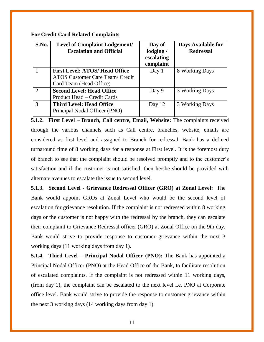# **For Credit Card Related Complaints**

| S.No. | <b>Level of Complaint Lodgement/</b><br><b>Escalation and Official</b>                                     | Day of<br>lodging /<br>escalating<br>complaint | Days Available for<br><b>Redressal</b> |
|-------|------------------------------------------------------------------------------------------------------------|------------------------------------------------|----------------------------------------|
|       | <b>First Level: ATOS/ Head Office</b><br><b>ATOS Customer Care Team/ Credit</b><br>Card Team (Head Office) | Day 1                                          | 8 Working Days                         |
| 2     | <b>Second Level: Head Office</b><br>Product Head – Credit Cards                                            | Day 9                                          | 3 Working Days                         |
| 3     | <b>Third Level: Head Office</b><br>Principal Nodal Officer (PNO)                                           | Day 12                                         | 3 Working Days                         |

**5.1.2. First Level – Branch, Call centre, Email, Website:** The complaints received through the various channels such as Call centre, branches, website, emails are considered as first level and assigned to Branch for redressal. Bank has a defined turnaround time of 8 working days for a response at First level. It is the foremost duty of branch to see that the complaint should be resolved promptly and to the customer's satisfaction and if the customer is not satisfied, then he/she should be provided with alternate avenues to escalate the issue to second level.

**5.1.3. Second Level - Grievance Redressal Officer (GRO) at Zonal Level:** The Bank would appoint GROs at Zonal Level who would be the second level of escalation for grievance resolution. If the complaint is not redressed within 8 working days or the customer is not happy with the redressal by the branch, they can escalate their complaint to Grievance Redressal officer (GRO) at Zonal Office on the 9th day. Bank would strive to provide response to customer grievance within the next 3 working days (11 working days from day 1).

**5.1.4. Third Level – Principal Nodal Officer (PNO):** The Bank has appointed a Principal Nodal Officer (PNO) at the Head Office of the Bank, to facilitate resolution of escalated complaints. If the complaint is not redressed within 11 working days, (from day 1), the complaint can be escalated to the next level i.e. PNO at Corporate office level. Bank would strive to provide the response to customer grievance within the next 3 working days (14 working days from day 1).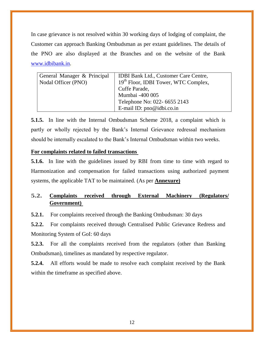In case grievance is not resolved within 30 working days of lodging of complaint, the Customer can approach Banking Ombudsman as per extant guidelines. The details of the PNO are also displayed at the Branches and on the website of the Bank [www.idbibank.in.](http://www.idbibank.in/)

| General Manager & Principal<br>Nodal Officer (PNO) | <b>IDBI Bank Ltd., Customer Care Centre,</b><br>19 <sup>th</sup> Floor, IDBI Tower, WTC Complex,<br>Cuffe Parade,<br>Mumbai -400 005 |
|----------------------------------------------------|--------------------------------------------------------------------------------------------------------------------------------------|
|                                                    | Telephone No: 022- 6655 2143<br>E-mail ID: pno@idbi.co.in                                                                            |

**5.1.5.** In line with the Internal Ombudsman Scheme 2018, a complaint which is partly or wholly rejected by the Bank's Internal Grievance redressal mechanism should be internally escalated to the Bank's Internal Ombudsman within two weeks.

# **For complaints related to failed transactions**

**5.1.6.** In line with the guidelines issued by RBI from time to time with regard to Harmonization and compensation for failed transactions using authorized payment systems, the applicable TAT to be maintained. (As per **Annexure)**

# **5.2. Complaints received through External Machinery (Regulators/ Government)**

**5.2.1.** For complaints received through the Banking Ombudsman: 30 days

**5.2.2.** For complaints received through Centralised Public Grievance Redress and Monitoring System of GoI: 60 days

**5.2.3.** For all the complaints received from the regulators (other than Banking Ombudsman), timelines as mandated by respective regulator.

**5.2.4.** All efforts would be made to resolve each complaint received by the Bank within the timeframe as specified above.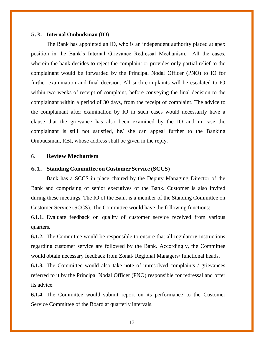#### **5.3. Internal Ombudsman (IO)**

The Bank has appointed an IO, who is an independent authority placed at apex position in the Bank's Internal Grievance Redressal Mechanism. All the cases, wherein the bank decides to reject the complaint or provides only partial relief to the complainant would be forwarded by the Principal Nodal Officer (PNO) to IO for further examination and final decision. All such complaints will be escalated to IO within two weeks of receipt of complaint, before conveying the final decision to the complainant within a period of 30 days, from the receipt of complaint. The advice to the complainant after examination by IO in such cases would necessarily have a clause that the grievance has also been examined by the IO and in case the complainant is still not satisfied, he/ she can appeal further to the Banking Ombudsman, RBI, whose address shall be given in the reply.

# **6. Review Mechanism**

#### **6.1. Standing Committee on Customer Service (SCCS)**

Bank has a SCCS in place chaired by the Deputy Managing Director of the Bank and comprising of senior executives of the Bank. Customer is also invited during these meetings. The IO of the Bank is a member of the Standing Committee on Customer Service (SCCS). The Committee would have the following functions:

**6.1.1.** Evaluate feedback on quality of customer service received from various quarters.

**6.1.2.** The Committee would be responsible to ensure that all regulatory instructions regarding customer service are followed by the Bank. Accordingly, the Committee would obtain necessary feedback from Zonal/ Regional Managers/ functional heads.

**6.1.3.** The Committee would also take note of unresolved complaints / grievances referred to it by the Principal Nodal Officer (PNO) responsible for redressal and offer its advice.

**6.1.4.** The Committee would submit report on its performance to the Customer Service Committee of the Board at quarterly intervals.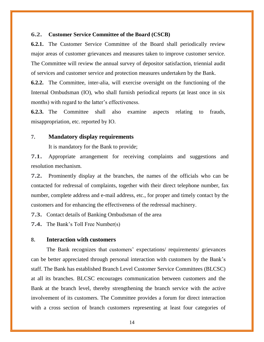## **6.2. Customer Service Committee of the Board (CSCB)**

**6.2.1.** The Customer Service Committee of the Board shall periodically review major areas of customer grievances and measures taken to improve customer service. The Committee will review the annual survey of depositor satisfaction, triennial audit of services and customer service and protection measures undertaken by the Bank.

**6.2.2.** The Committee, inter-alia, will exercise oversight on the functioning of the Internal Ombudsman (IO), who shall furnish periodical reports (at least once in six months) with regard to the latter's effectiveness.

**6.2.3.** The Committee shall also examine aspects relating to frauds, misappropriation, etc. reported by IO.

## **7. Mandatory display requirements**

It is mandatory for the Bank to provide;

**7.1.** Appropriate arrangement for receiving complaints and suggestions and resolution mechanism.

**7.2.** Prominently display at the branches, the names of the officials who can be contacted for redressal of complaints, together with their direct telephone number, fax number, complete address and e-mail address, etc., for proper and timely contact by the customers and for enhancing the effectiveness of the redressal machinery.

**7.3.** Contact details of Banking Ombudsman of the area

**7.4.** The Bank's Toll Free Number(s)

# **8. Interaction with customers**

The Bank recognizes that customers' expectations/ requirements/ grievances can be better appreciated through personal interaction with customers by the Bank's staff. The Bank has established Branch Level Customer Service Committees (BLCSC) at all its branches. BLCSC encourages communication between customers and the Bank at the branch level, thereby strengthening the branch service with the active involvement of its customers. The Committee provides a forum for direct interaction with a cross section of branch customers representing at least four categories of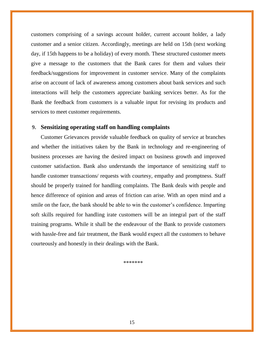customers comprising of a savings account holder, current account holder, a lady customer and a senior citizen. Accordingly, meetings are held on 15th (next working day, if 15th happens to be a holiday) of every month. These structured customer meets give a message to the customers that the Bank cares for them and values their feedback/suggestions for improvement in customer service. Many of the complaints arise on account of lack of awareness among customers about bank services and such interactions will help the customers appreciate banking services better. As for the Bank the feedback from customers is a valuable input for revising its products and services to meet customer requirements.

## **9. Sensitizing operating staff on handling complaints**

Customer Grievances provide valuable feedback on quality of service at branches and whether the initiatives taken by the Bank in technology and re-engineering of business processes are having the desired impact on business growth and improved customer satisfaction. Bank also understands the importance of sensitizing staff to handle customer transactions/ requests with courtesy, empathy and promptness. Staff should be properly trained for handling complaints. The Bank deals with people and hence difference of opinion and areas of friction can arise. With an open mind and a smile on the face, the bank should be able to win the customer's confidence. Imparting soft skills required for handling irate customers will be an integral part of the staff training programs. While it shall be the endeavour of the Bank to provide customers with hassle-free and fair treatment, the Bank would expect all the customers to behave courteously and honestly in their dealings with the Bank.

\*\*\*\*\*\*\*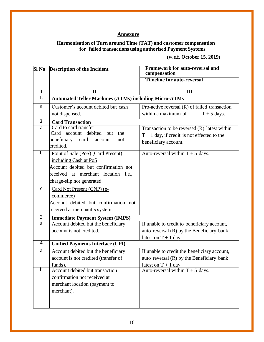# **Annexure**

# **Harmonisation of Turn around Time (TAT) and customer compensation for failed transactions using authorised Payment Systems**

**(w.e.f. October 15, 2019)**

|                | SI No Description of the Incident                            | <b>Framework for auto-reversal and</b><br>compensation |
|----------------|--------------------------------------------------------------|--------------------------------------------------------|
|                |                                                              | <b>Timeline for auto-reversal</b>                      |
| Ī              | $\mathbf{I}$                                                 | $\overline{\mathbf{H}}$                                |
| 1.             | <b>Automated Teller Machines (ATMs) including Micro-ATMs</b> |                                                        |
| a              | Customer's account debited but cash                          | Pro-active reversal (R) of failed transaction          |
|                | not dispensed.                                               | within a maximum of<br>$T + 5$ days.                   |
| $\overline{2}$ | <b>Card Transaction</b>                                      |                                                        |
| a              | Card to card transfer                                        | Transaction to be reversed $(R)$ latest within         |
|                | Card account<br>debited<br>but<br>the                        | $T + 1$ day, if credit is not effected to the          |
|                | beneficiary card<br>account<br>not<br>credited.              | beneficiary account.                                   |
| $\mathbf b$    | Point of Sale (PoS) (Card Present)                           | Auto-reversal within $T + 5$ days.                     |
|                | including Cash at PoS                                        |                                                        |
|                | Account debited but confirmation not                         |                                                        |
|                | received at merchant location i.e.,                          |                                                        |
|                | charge-slip not generated.                                   |                                                        |
| $\mathbf{C}$   | Card Not Present (CNP) (e-                                   |                                                        |
|                | commerce)                                                    |                                                        |
|                | Account debited but confirmation not                         |                                                        |
|                | received at merchant's system.                               |                                                        |
| $\overline{3}$ | <b>Immediate Payment System (IMPS)</b>                       |                                                        |
| a              | Account debited but the beneficiary                          | If unable to credit to beneficiary account,            |
|                | account is not credited.                                     | auto reversal (R) by the Beneficiary bank              |
|                |                                                              | latest on $T + 1$ day.                                 |
| 4              | <b>Unified Payments Interface (UPI)</b>                      |                                                        |
| a              | Account debited but the beneficiary                          | If unable to credit the beneficiary account,           |
|                | account is not credited (transfer of                         | auto reversal $(R)$ by the Beneficiary bank            |
| $\mathbf b$    | funds).                                                      | latest on $T + 1$ day.                                 |
|                | Account debited but transaction                              | Auto-reversal within $T + 5$ days.                     |
|                | confirmation not received at                                 |                                                        |
|                | merchant location (payment to                                |                                                        |
|                | merchant).                                                   |                                                        |
|                |                                                              |                                                        |
|                |                                                              |                                                        |